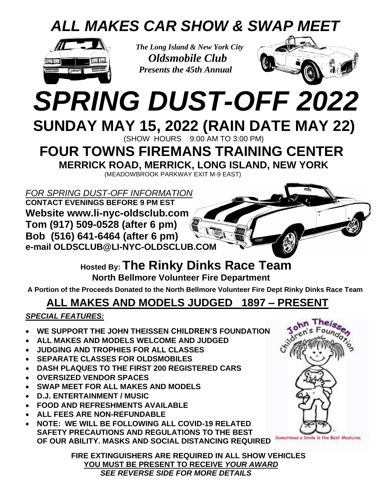### *ALL MAKES CAR SHOW & SWAP MEET*



 *The Long Island & New York City Oldsmobile Club Presents the 45th Annual*



# *SPRING DUST-OFF 2022* **SUNDAY MAY 15, 2022 (RAIN DATE MAY 22)**

(SHOW HOURS 9:00 AM TO 3:00 PM)

## **FOUR TOWNS FIREMANS TRAINING CENTER**

**MERRICK ROAD, MERRICK, LONG ISLAND, NEW YORK**

(MEADOWBROOK PARKWAY EXIT M-9 EAST)

*FOR SPRING DUST-OFF INFORMATION* **CONTACT EVENINGS BEFORE 9 PM EST**

**Website www.li-nyc-oldsclub.com Tom (917) 509-0528 (after 6 pm) Bob (516) 641-6464 (after 6 pm) e-mail OLDSCLUB@LI-NYC-OLDSCLUB.COM**

> **Hosted By: The Rinky Dinks Race Team North Bellmore Volunteer Fire Department**

**A Portion of the Proceeds Donated to the North Bellmore Volunteer Fire Dept Rinky Dinks Race Team**

### **ALL MAKES AND MODELS JUDGED 1897 – PRESENT**

#### *SPECIAL FEATURES:*

- **WE SUPPORT THE JOHN THEISSEN CHILDREN'S FOUNDATION**
- **ALL MAKES AND MODELS WELCOME AND JUDGED**
- **JUDGING AND TROPHIES FOR ALL CLASSES**
- **SEPARATE CLASSES FOR OLDSMOBILES**
- **DASH PLAQUES TO THE FIRST 200 REGISTERED CARS**
- **OVERSIZED VENDOR SPACES**
- **SWAP MEET FOR ALL MAKES AND MODELS**
- **D.J. ENTERTAINMENT / MUSIC**
- **FOOD AND REFRESHMENTS AVAILABLE**
- **ALL FEES ARE NON-REFUNDABLE**
- **NOTE: WE WILL BE FOLLOWING ALL COVID-19 RELATED SAFETY PRECAUTIONS AND REGULATIONS TO THE BEST OF OUR ABILITY. MASKS AND SOCIAL DISTANCING REQUIRED**

**FIRE EXTINGUISHERS ARE REQUIRED IN ALL SHOW VEHICLES YOU MUST BE PRESENT TO RECEIVE** *YOUR AWARD SEE REVERSE SIDE FOR MORE DETAILS*



Sometimes a Smile is the Best Medicine